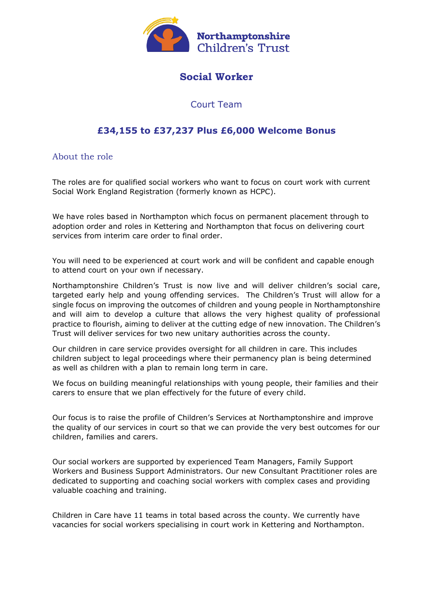

# **Social Worker**

## Court Team

# **£34,155 to £37,237 Plus £6,000 Welcome Bonus**

About the role

The roles are for qualified social workers who want to focus on court work with current Social Work England Registration (formerly known as HCPC).

We have roles based in Northampton which focus on permanent placement through to adoption order and roles in Kettering and Northampton that focus on delivering court services from interim care order to final order.

You will need to be experienced at court work and will be confident and capable enough to attend court on your own if necessary.

Northamptonshire Children's Trust is now live and will deliver children's social care, targeted early help and young offending services. The Children's Trust will allow for a single focus on improving the outcomes of children and young people in Northamptonshire and will aim to develop a culture that allows the very highest quality of professional practice to flourish, aiming to deliver at the cutting edge of new innovation. The Children's Trust will deliver services for two new unitary authorities across the county.

Our children in care service provides oversight for all children in care. This includes children subject to legal proceedings where their permanency plan is being determined as well as children with a plan to remain long term in care.

We focus on building meaningful relationships with young people, their families and their carers to ensure that we plan effectively for the future of every child.

Our focus is to raise the profile of Children's Services at Northamptonshire and improve the quality of our services in court so that we can provide the very best outcomes for our children, families and carers.

Our social workers are supported by experienced Team Managers, Family Support Workers and Business Support Administrators. Our new Consultant Practitioner roles are dedicated to supporting and coaching social workers with complex cases and providing valuable coaching and training.

Children in Care have 11 teams in total based across the county. We currently have vacancies for social workers specialising in court work in Kettering and Northampton.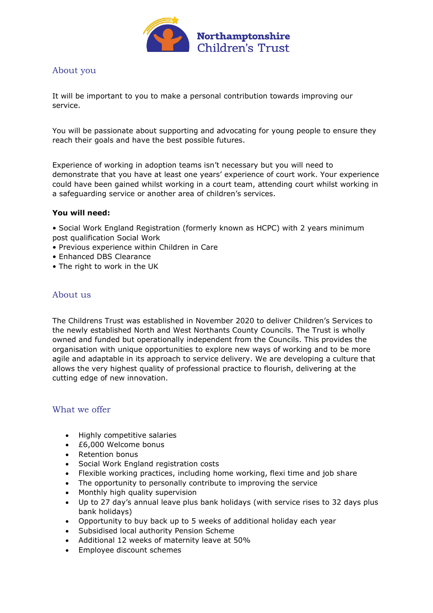

### About you

It will be important to you to make a personal contribution towards improving our service.

You will be passionate about supporting and advocating for young people to ensure they reach their goals and have the best possible futures.

Experience of working in adoption teams isn't necessary but you will need to demonstrate that you have at least one years' experience of court work. Your experience could have been gained whilst working in a court team, attending court whilst working in a safeguarding service or another area of children's services.

#### **You will need:**

• Social Work England Registration (formerly known as HCPC) with 2 years minimum post qualification Social Work

- Previous experience within Children in Care
- Enhanced DBS Clearance
- The right to work in the UK

### About us

The Childrens Trust was established in November 2020 to deliver Children's Services to the newly established North and West Northants County Councils. The Trust is wholly owned and funded but operationally independent from the Councils. This provides the organisation with unique opportunities to explore new ways of working and to be more agile and adaptable in its approach to service delivery. We are developing a culture that allows the very highest quality of professional practice to flourish, delivering at the cutting edge of new innovation.

### What we offer

- Highly competitive salaries
- £6,000 Welcome bonus
- Retention bonus
- Social Work England registration costs
- Flexible working practices, including home working, flexi time and job share
- The opportunity to personally contribute to improving the service
- Monthly high quality supervision
- Up to 27 day's annual leave plus bank holidays (with service rises to 32 days plus bank holidays)
- Opportunity to buy back up to 5 weeks of additional holiday each year
- Subsidised local authority Pension Scheme
- Additional 12 weeks of maternity leave at 50%
- Employee discount schemes